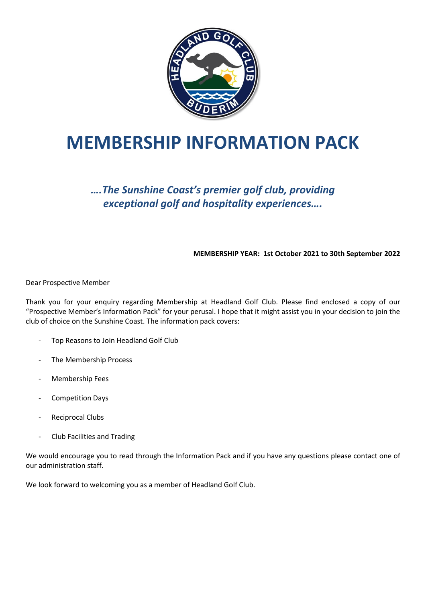

# **MEMBERSHIP INFORMATION PACK**

### *….The Sunshine Coast's premier golf club, providing exceptional golf and hospitality experiences….*

**MEMBERSHIP YEAR: 1st October 2021 to 30th September 2022**

Dear Prospective Member

Thank you for your enquiry regarding Membership at Headland Golf Club. Please find enclosed a copy of our "Prospective Member's Information Pack" for your perusal. I hope that it might assist you in your decision to join the club of choice on the Sunshine Coast. The information pack covers:

- Top Reasons to Join Headland Golf Club
- The Membership Process
- Membership Fees
- Competition Days
- Reciprocal Clubs
- Club Facilities and Trading

We would encourage you to read through the Information Pack and if you have any questions please contact one of our administration staff.

We look forward to welcoming you as a member of Headland Golf Club.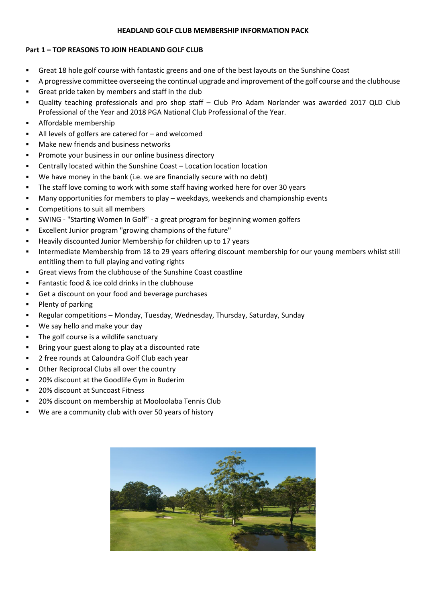#### **HEADLAND GOLF CLUB MEMBERSHIP INFORMATION PACK**

#### **Part 1 – TOP REASONS TO JOIN HEADLAND GOLF CLUB**

- Great 18 hole golf course with fantastic greens and one of the best layouts on the Sunshine Coast
- A progressive committee overseeing the continual upgrade and improvement of the golf course and the clubhouse
- Great pride taken by members and staff in the club
- Quality teaching professionals and pro shop staff Club Pro Adam Norlander was awarded 2017 QLD Club Professional of the Year and 2018 PGA National Club Professional of the Year.
- Affordable membership
- All levels of golfers are catered for  $-$  and welcomed
- Make new friends and business networks
- Promote your business in our online business directory
- Centrally located within the Sunshine Coast Location location location
- We have money in the bank (i.e. we are financially secure with no debt)
- The staff love coming to work with some staff having worked here for over 30 years
- Many opportunities for members to play weekdays, weekends and championship events
- Competitions to suit all members
- SWING "Starting Women In Golf" a great program for beginning women golfers
- Excellent Junior program "growing champions of the future"
- Heavily discounted Junior Membership for children up to 17 years
- Intermediate Membership from 18 to 29 years offering discount membership for our young members whilst still entitling them to full playing and voting rights
- Great views from the clubhouse of the Sunshine Coast coastline
- Fantastic food & ice cold drinks in the clubhouse
- Get a discount on your food and beverage purchases
- Plenty of parking
- Regular competitions Monday, Tuesday, Wednesday, Thursday, Saturday, Sunday
- We say hello and make your day
- The golf course is a wildlife sanctuary
- Bring your guest along to play at a discounted rate
- 2 free rounds at Caloundra Golf Club each year
- Other Reciprocal Clubs all over the country
- 20% discount at the Goodlife Gym in Buderim
- 20% discount at Suncoast Fitness
- 20% discount on membership at Mooloolaba Tennis Club
- We are a community club with over 50 years of history

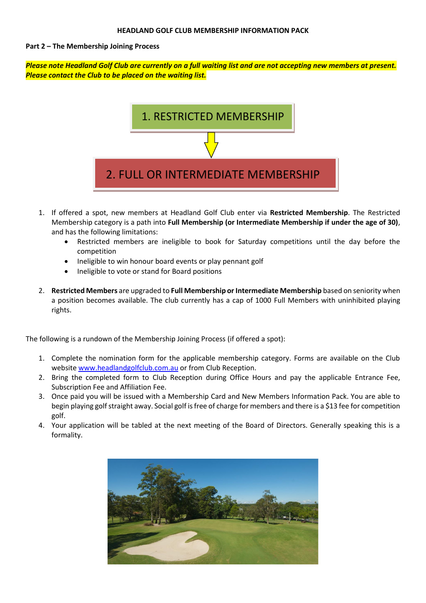#### **Part 2 – The Membership Joining Process**

*Please note Headland Golf Club are currently on a full waiting list and are not accepting new members at present. Please contact the Club to be placed on the waiting list.*



- 1. If offered a spot, new members at Headland Golf Club enter via **Restricted Membership**. The Restricted Membership category is a path into **Full Membership (or Intermediate Membership if under the age of 30)**, and has the following limitations:
	- Restricted members are ineligible to book for Saturday competitions until the day before the competition
	- Ineligible to win honour board events or play pennant golf
	- Ineligible to vote or stand for Board positions
- 2. **Restricted Members** are upgraded to **Full Membership or Intermediate Membership** based on seniority when a position becomes available. The club currently has a cap of 1000 Full Members with uninhibited playing rights.

The following is a rundown of the Membership Joining Process (if offered a spot):

- 1. Complete the nomination form for the applicable membership category. Forms are available on the Club websit[e www.headlandgolfclub.com.au](http://www.headlandgolfclub.com.au/) or from Club Reception.
- 2. Bring the completed form to Club Reception during Office Hours and pay the applicable Entrance Fee, Subscription Fee and Affiliation Fee.
- 3. Once paid you will be issued with a Membership Card and New Members Information Pack. You are able to begin playing golf straight away. Social golf is free of charge for members and there is a \$13 fee for competition golf.
- 4. Your application will be tabled at the next meeting of the Board of Directors. Generally speaking this is a formality.

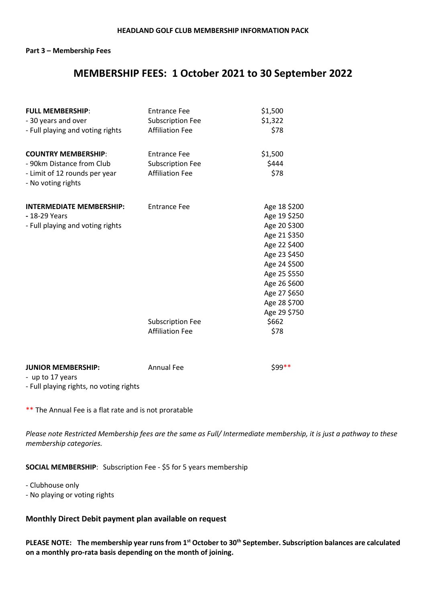#### **Part 3 – Membership Fees**

### **MEMBERSHIP FEES: 1 October 2021 to 30 September 2022**

| <b>FULL MEMBERSHIP:</b>                             | <b>Entrance Fee</b>     | \$1,500      |
|-----------------------------------------------------|-------------------------|--------------|
| - 30 years and over                                 | <b>Subscription Fee</b> | \$1,322      |
| - Full playing and voting rights                    | <b>Affiliation Fee</b>  | \$78         |
| <b>COUNTRY MEMBERSHIP:</b>                          | <b>Entrance Fee</b>     | \$1,500      |
| - 90km Distance from Club                           | <b>Subscription Fee</b> | \$444        |
| - Limit of 12 rounds per year<br>- No voting rights | <b>Affiliation Fee</b>  | \$78         |
| <b>INTERMEDIATE MEMBERSHIP:</b>                     | <b>Entrance Fee</b>     | Age 18 \$200 |
| - 18-29 Years                                       |                         | Age 19 \$250 |
| - Full playing and voting rights                    |                         | Age 20 \$300 |
|                                                     |                         | Age 21 \$350 |
|                                                     |                         | Age 22 \$400 |
|                                                     |                         | Age 23 \$450 |
|                                                     |                         | Age 24 \$500 |
|                                                     |                         | Age 25 \$550 |
|                                                     |                         | Age 26 \$600 |
|                                                     |                         | Age 27 \$650 |
|                                                     |                         | Age 28 \$700 |
|                                                     |                         | Age 29 \$750 |
|                                                     | <b>Subscription Fee</b> | \$662        |
|                                                     | <b>Affiliation Fee</b>  | \$78         |
|                                                     |                         |              |

#### **JUNIOR MEMBERSHIP:** Annual Fee \$99\*\*

- up to 17 years

- Full playing rights, no voting rights

\*\* The Annual Fee is a flat rate and is not proratable

*Please note Restricted Membership fees are the same as Full/ Intermediate membership, it is just a pathway to these membership categories.* 

**SOCIAL MEMBERSHIP**: Subscription Fee - \$5 for 5 years membership

- Clubhouse only

- No playing or voting rights

#### **Monthly Direct Debit payment plan available on request**

**PLEASE NOTE: The membership year runs from 1st October to 30th September. Subscription balances are calculated on a monthly pro-rata basis depending on the month of joining.**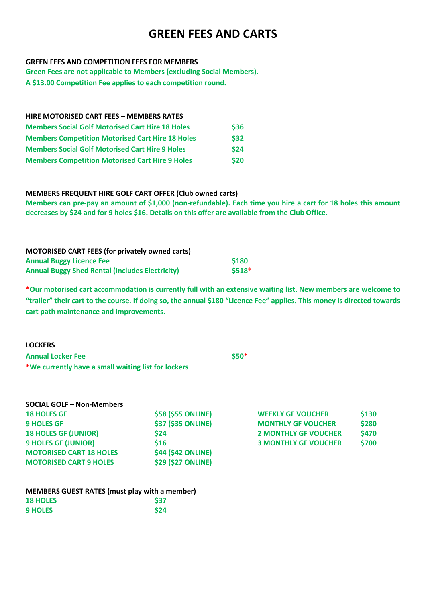## **GREEN FEES AND CARTS**

#### **GREEN FEES AND COMPETITION FEES FOR MEMBERS**

**Green Fees are not applicable to Members (excluding Social Members).**

**A \$13.00 Competition Fee applies to each competition round.**

| <b>HIRE MOTORISED CART FEES - MEMBERS RATES</b>         |      |
|---------------------------------------------------------|------|
| <b>Members Social Golf Motorised Cart Hire 18 Holes</b> | \$36 |
| <b>Members Competition Motorised Cart Hire 18 Holes</b> | \$32 |
| <b>Members Social Golf Motorised Cart Hire 9 Holes</b>  | \$24 |
| <b>Members Competition Motorised Cart Hire 9 Holes</b>  | \$20 |

#### **MEMBERS FREQUENT HIRE GOLF CART OFFER (Club owned carts)**

**Members can pre-pay an amount of \$1,000 (non-refundable). Each time you hire a cart for 18 holes this amount decreases by \$24 and for 9 holes \$16. Details on this offer are available from the Club Office.** 

| <b>MOTORISED CART FEES (for privately owned carts)</b> |             |
|--------------------------------------------------------|-------------|
| <b>Annual Buggy Licence Fee</b>                        | <b>S180</b> |
| <b>Annual Buggy Shed Rental (Includes Electricity)</b> | $$518*$     |

**\*Our motorised cart accommodation is currently full with an extensive waiting list. New members are welcome to "trailer" their cart to the course. If doing so, the annual \$180 "Licence Fee" applies. This money is directed towards cart path maintenance and improvements.**

| <b>LOCKERS</b>                                      |        |
|-----------------------------------------------------|--------|
| <b>Annual Locker Fee</b>                            | $$50*$ |
| *We currently have a small waiting list for lockers |        |

| <b>SOCIAL GOLF - Non-Members</b> |                           |                             |       |
|----------------------------------|---------------------------|-----------------------------|-------|
| <b>18 HOLES GF</b>               | <b>\$58 (\$55 ONLINE)</b> | <b>WEEKLY GF VOUCHER</b>    | \$130 |
| <b>9 HOLES GF</b>                | <b>\$37 (\$35 ONLINE)</b> | <b>MONTHLY GF VOUCHER</b>   | \$280 |
| <b>18 HOLES GF (JUNIOR)</b>      | \$24                      | <b>2 MONTHLY GF VOUCHER</b> | \$470 |
| <b>9 HOLES GF (JUNIOR)</b>       | \$16                      | <b>3 MONTHLY GF VOUCHER</b> | \$700 |
| <b>MOTORISED CART 18 HOLES</b>   | <b>\$44 (\$42 ONLINE)</b> |                             |       |
| <b>MOTORISED CART 9 HOLES</b>    | <b>\$29 (\$27 ONLINE)</b> |                             |       |

| <b>WEEKLY GF VOUCHER</b>    | <b>S130</b>  |
|-----------------------------|--------------|
| <b>MONTHLY GF VOUCHER</b>   | <b>\$280</b> |
| <b>2 MONTHLY GF VOUCHER</b> | <b>\$470</b> |
| <b>3 MONTHLY GF VOUCHER</b> | <b>\$700</b> |

| <b>MEMBERS GUEST RATES (must play with a member)</b> |            |
|------------------------------------------------------|------------|
| <b>18 HOLES</b>                                      | <b>S37</b> |
| <b>9 HOLES</b>                                       | \$24       |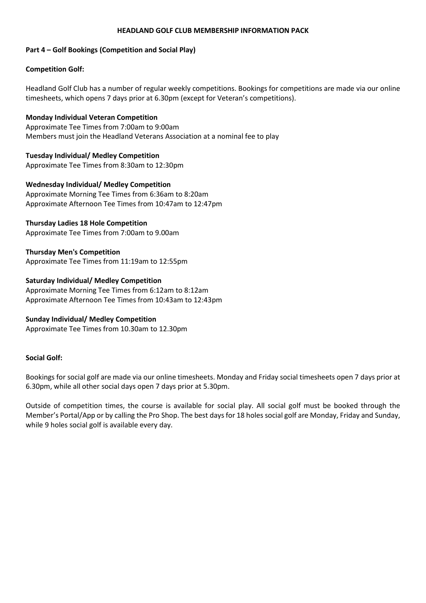#### **HEADLAND GOLF CLUB MEMBERSHIP INFORMATION PACK**

#### **Part 4 – Golf Bookings (Competition and Social Play)**

#### **Competition Golf:**

Headland Golf Club has a number of regular weekly competitions. Bookings for competitions are made via our online timesheets, which opens 7 days prior at 6.30pm (except for Veteran's competitions).

**Monday Individual Veteran Competition**  Approximate Tee Times from 7:00am to 9:00am Members must join the Headland Veterans Association at a nominal fee to play

**Tuesday Individual/ Medley Competition** Approximate Tee Times from 8:30am to 12:30pm

**Wednesday Individual/ Medley Competition** Approximate Morning Tee Times from 6:36am to 8:20am Approximate Afternoon Tee Times from 10:47am to 12:47pm

#### **Thursday Ladies 18 Hole Competition**

Approximate Tee Times from 7:00am to 9.00am

**Thursday Men's Competition** Approximate Tee Times from 11:19am to 12:55pm

#### **Saturday Individual/ Medley Competition**

Approximate Morning Tee Times from 6:12am to 8:12am Approximate Afternoon Tee Times from 10:43am to 12:43pm

#### **Sunday Individual/ Medley Competition**

Approximate Tee Times from 10.30am to 12.30pm

#### **Social Golf:**

Bookings for social golf are made via our online timesheets. Monday and Friday social timesheets open 7 days prior at 6.30pm, while all other social days open 7 days prior at 5.30pm.

Outside of competition times, the course is available for social play. All social golf must be booked through the Member's Portal/App or by calling the Pro Shop. The best days for 18 holes social golf are Monday, Friday and Sunday, while 9 holes social golf is available every day.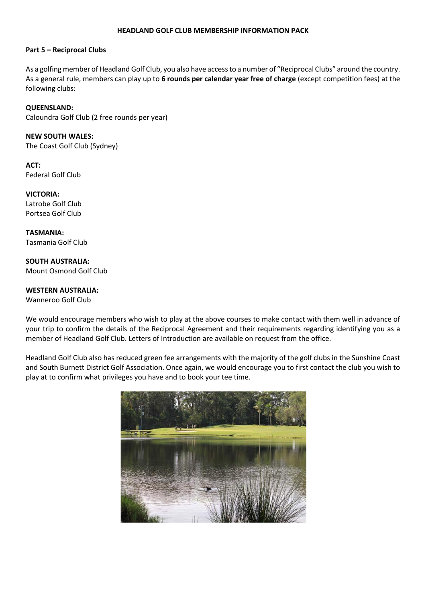#### **HEADLAND GOLF CLUB MEMBERSHIP INFORMATION PACK**

#### **Part 5 – Reciprocal Clubs**

As a golfing member of Headland Golf Club, you also have access to a number of "Reciprocal Clubs" around the country. As a general rule, members can play up to **6 rounds per calendar year free of charge** (except competition fees) at the following clubs:

#### **QUEENSLAND:**

Caloundra Golf Club (2 free rounds per year)

#### **NEW SOUTH WALES:**

The Coast Golf Club (Sydney)

**ACT:** Federal Golf Club

**VICTORIA:** Latrobe Golf Club Portsea Golf Club

**TASMANIA:** Tasmania Golf Club

**SOUTH AUSTRALIA:** Mount Osmond Golf Club

#### **WESTERN AUSTRALIA:**

Wanneroo Golf Club

We would encourage members who wish to play at the above courses to make contact with them well in advance of your trip to confirm the details of the Reciprocal Agreement and their requirements regarding identifying you as a member of Headland Golf Club. Letters of Introduction are available on request from the office.

Headland Golf Club also has reduced green fee arrangements with the majority of the golf clubs in the Sunshine Coast and South Burnett District Golf Association. Once again, we would encourage you to first contact the club you wish to play at to confirm what privileges you have and to book your tee time.